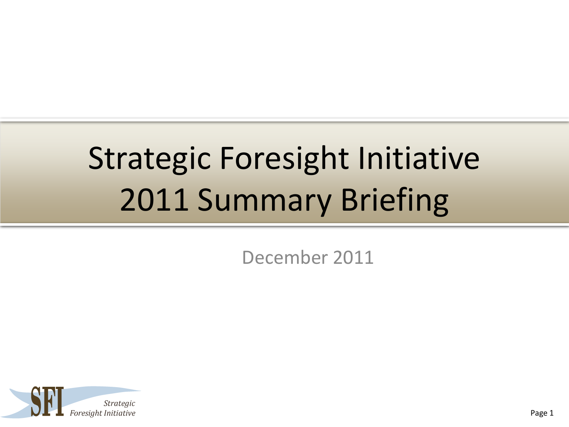# Strategic Foresight Initiative 2011 Summary Briefing

December 2011

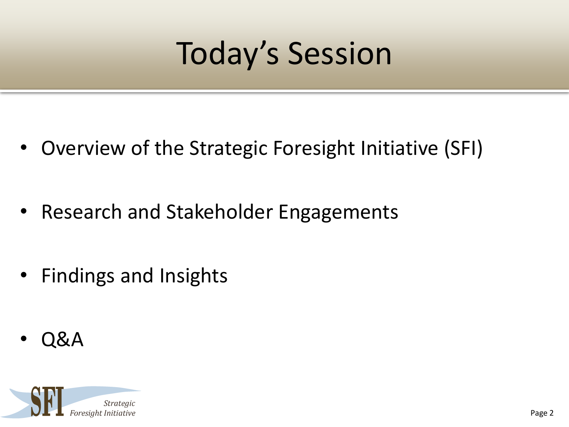# Today's Session

- Overview of the Strategic Foresight Initiative (SFI)
- Research and Stakeholder Engagements
- Findings and Insights
- Q&A

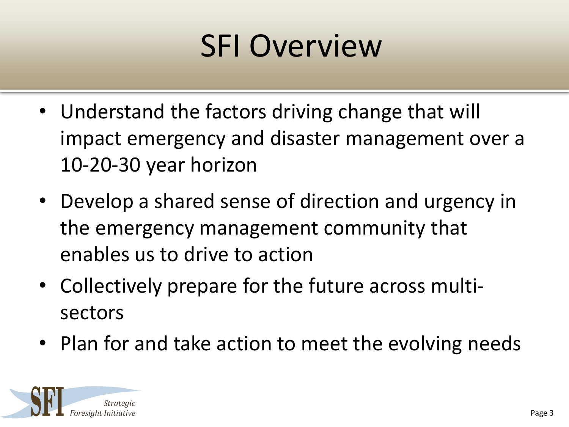# SFI Overview

- Understand the factors driving change that will impact emergency and disaster management over a 10-20-30 year horizon
- Develop a shared sense of direction and urgency in the emergency management community that enables us to drive to action
- Collectively prepare for the future across multisectors
- Plan for and take action to meet the evolving needs

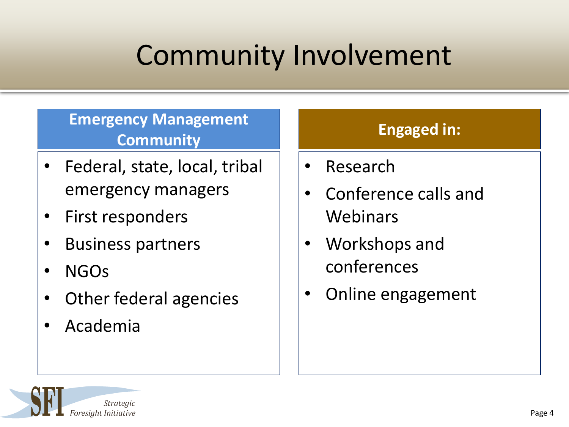## Community Involvement

#### **Emergency Management Community Engaged in:**

- Federal, state, local, tribal emergency managers
- First responders
- Business partners
- NGOs
- Other federal agencies
- Academia

- Research
- Conference calls and Webinars
- Workshops and conferences
- Online engagement

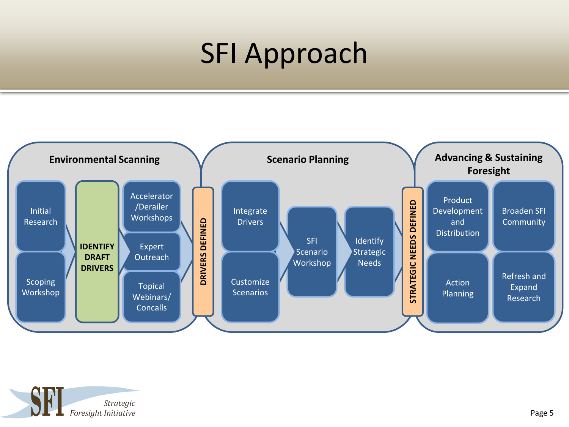#### SFI Approach



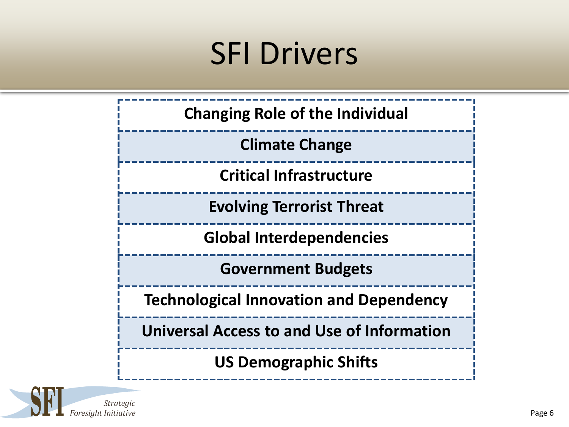## SFI Drivers



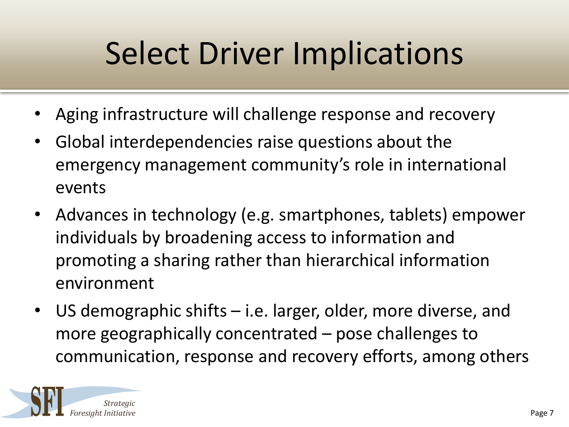# Select Driver Implications

- Aging infrastructure will challenge response and recovery
- Global interdependencies raise questions about the emergency management community's role in international events
- Advances in technology (e.g. smartphones, tablets) empower individuals by broadening access to information and promoting a sharing rather than hierarchical information environment
- US demographic shifts i.e. larger, older, more diverse, and more geographically concentrated – pose challenges to communication, response and recovery efforts, among others

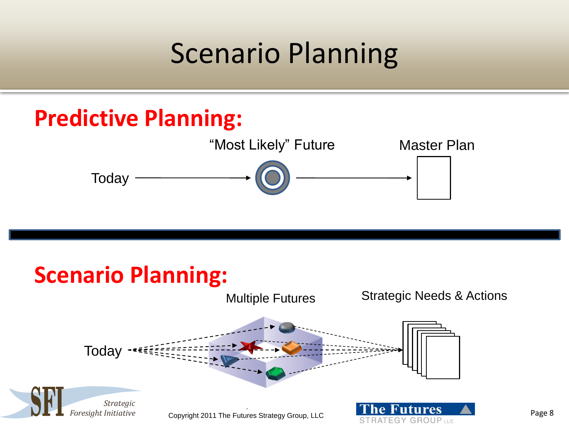#### Scenario Planning

## **Predictive Planning:** Today "Most Likely" Future Master Plan

#### **Scenario Planning:**



**RATEGY GROUP LLC**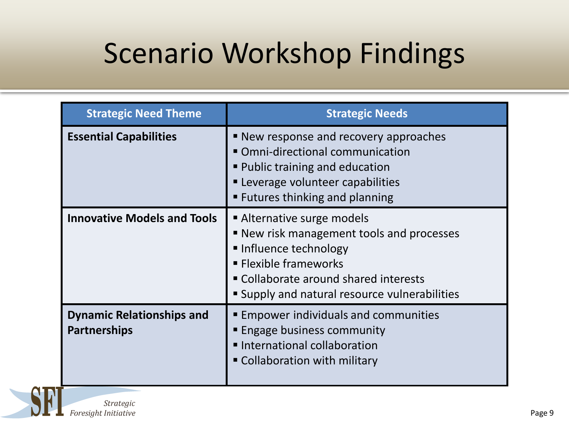#### Scenario Workshop Findings

| <b>Strategic Need Theme</b>                             | <b>Strategic Needs</b>                                                                                                                                                                                                     |
|---------------------------------------------------------|----------------------------------------------------------------------------------------------------------------------------------------------------------------------------------------------------------------------------|
| <b>Essential Capabilities</b>                           | ■ New response and recovery approaches<br>• Omni-directional communication<br><b>Public training and education</b><br><b>Leverage volunteer capabilities</b><br><b>Example 1</b> Futures thinking and planning             |
| <b>Innovative Models and Tools</b>                      | Alternative surge models<br>■ New risk management tools and processes<br>Influence technology<br><b>Elexible frameworks</b><br>" Collaborate around shared interests<br><b>Supply and natural resource vulnerabilities</b> |
| <b>Dynamic Relationships and</b><br><b>Partnerships</b> | <b>Empower individuals and communities</b><br><b>Engage business community</b><br>International collaboration<br>" Collaboration with military                                                                             |

**Strategic** Foresight Initiative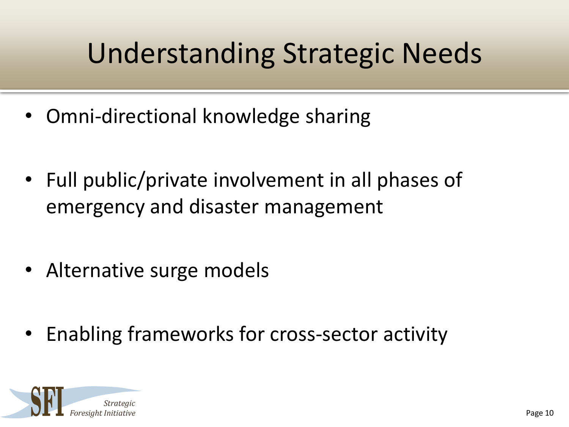## Understanding Strategic Needs

- Omni-directional knowledge sharing
- Full public/private involvement in all phases of emergency and disaster management
- Alternative surge models
- Enabling frameworks for cross-sector activity

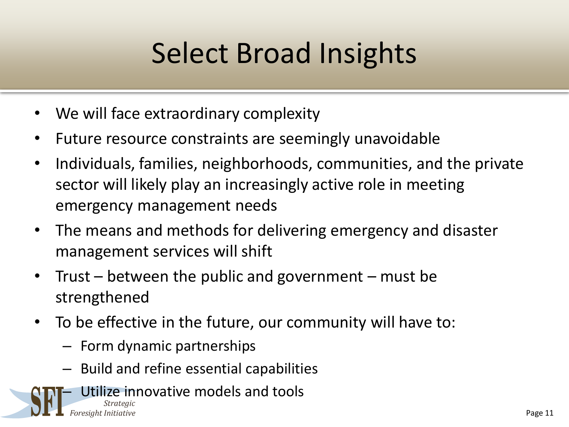## Select Broad Insights

- We will face extraordinary complexity
- Future resource constraints are seemingly unavoidable
- Individuals, families, neighborhoods, communities, and the private sector will likely play an increasingly active role in meeting emergency management needs
- The means and methods for delivering emergency and disaster management services will shift
- Trust between the public and government must be strengthened
- To be effective in the future, our community will have to:
	- Form dynamic partnerships
	- Build and refine essential capabilities
- Utilize innovative models and tools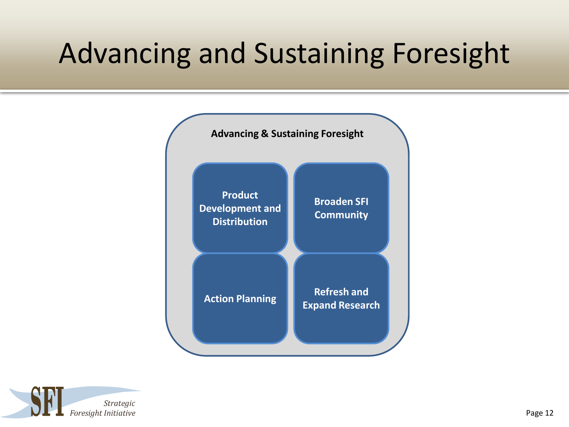#### Advancing and Sustaining Foresight



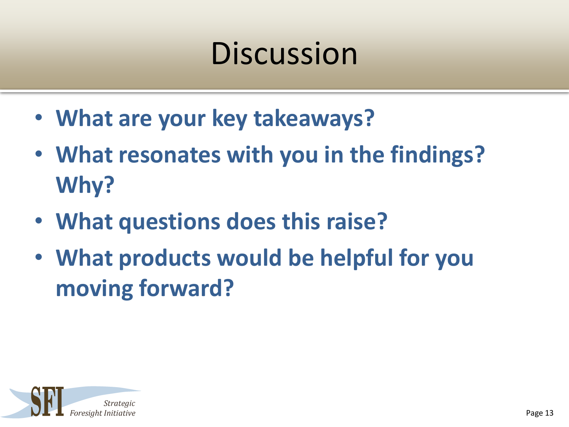# **Discussion**

- **What are your key takeaways?**
- **What resonates with you in the findings? Why?**
- **What questions does this raise?**
- **What products would be helpful for you moving forward?**

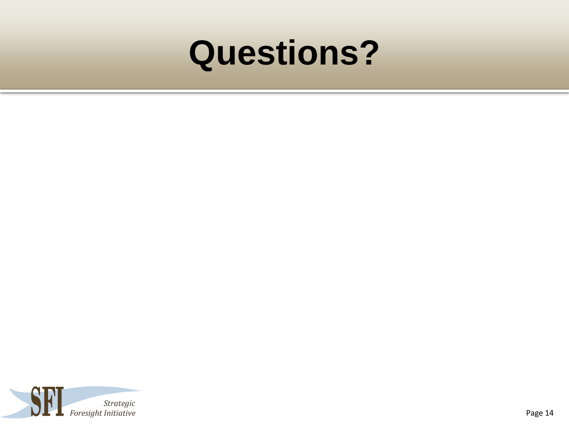# **Questions?**

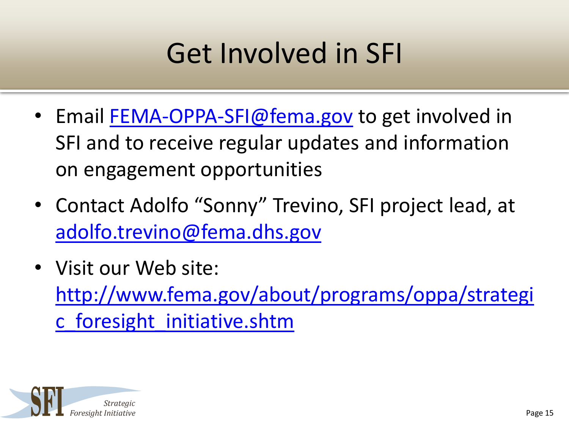## Get Involved in SFI

- Email [FEMA-OPPA-SFI@fema.gov](mailto:FEMA-OPPA-SFI@fema.gov) to get involved in SFI and to receive regular updates and information on engagement opportunities
- Contact Adolfo "Sonny" Trevino, SFI project lead, at [adolfo.trevino@fema.dhs.gov](mailto:adolfo.trevino@fema.dhs.gov)
- Visit our Web site: [http://www.fema.gov/about/programs/oppa/strategi](http://www.fema.gov/about/programs/oppa/strategic_foresight_initiative.shtm) [c\\_foresight\\_initiative.shtm](http://www.fema.gov/about/programs/oppa/strategic_foresight_initiative.shtm)